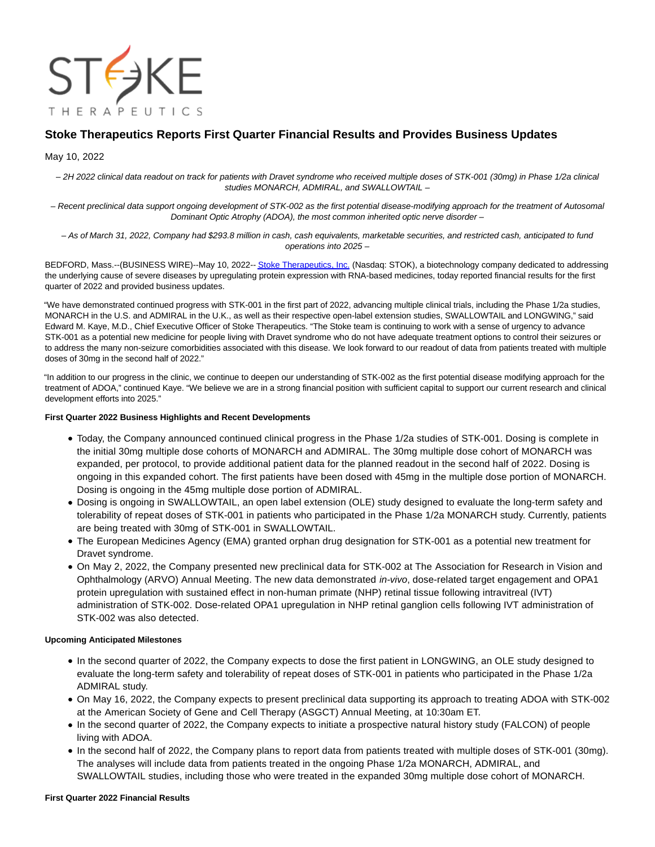

# **Stoke Therapeutics Reports First Quarter Financial Results and Provides Business Updates**

## May 10, 2022

– 2H 2022 clinical data readout on track for patients with Dravet syndrome who received multiple doses of STK-001 (30mg) in Phase 1/2a clinical studies MONARCH, ADMIRAL, and SWALLOWTAIL –

– Recent preclinical data support ongoing development of STK-002 as the first potential disease-modifying approach for the treatment of Autosomal Dominant Optic Atrophy (ADOA), the most common inherited optic nerve disorder –

– As of March 31, 2022, Company had \$293.8 million in cash, cash equivalents, marketable securities, and restricted cash, anticipated to fund operations into 2025 –

BEDFORD, Mass.--(BUSINESS WIRE)--May 10, 2022-[- Stoke Therapeutics, Inc. \(](https://cts.businesswire.com/ct/CT?id=smartlink&url=https%3A%2F%2Fwww.stoketherapeutics.com%2F&esheet=52713180&newsitemid=20220510005201&lan=en-US&anchor=Stoke+Therapeutics%2C+Inc.&index=1&md5=10c40018befd5b6e4da900cd4fc99daa)Nasdaq: STOK), a biotechnology company dedicated to addressing the underlying cause of severe diseases by upregulating protein expression with RNA-based medicines, today reported financial results for the first quarter of 2022 and provided business updates.

"We have demonstrated continued progress with STK-001 in the first part of 2022, advancing multiple clinical trials, including the Phase 1/2a studies, MONARCH in the U.S. and ADMIRAL in the U.K., as well as their respective open-label extension studies, SWALLOWTAIL and LONGWING," said Edward M. Kaye, M.D., Chief Executive Officer of Stoke Therapeutics. "The Stoke team is continuing to work with a sense of urgency to advance STK-001 as a potential new medicine for people living with Dravet syndrome who do not have adequate treatment options to control their seizures or to address the many non-seizure comorbidities associated with this disease. We look forward to our readout of data from patients treated with multiple doses of 30mg in the second half of 2022."

"In addition to our progress in the clinic, we continue to deepen our understanding of STK-002 as the first potential disease modifying approach for the treatment of ADOA," continued Kaye. "We believe we are in a strong financial position with sufficient capital to support our current research and clinical development efforts into 2025."

## **First Quarter 2022 Business Highlights and Recent Developments**

- Today, the Company announced continued clinical progress in the Phase 1/2a studies of STK-001. Dosing is complete in the initial 30mg multiple dose cohorts of MONARCH and ADMIRAL. The 30mg multiple dose cohort of MONARCH was expanded, per protocol, to provide additional patient data for the planned readout in the second half of 2022. Dosing is ongoing in this expanded cohort. The first patients have been dosed with 45mg in the multiple dose portion of MONARCH. Dosing is ongoing in the 45mg multiple dose portion of ADMIRAL.
- Dosing is ongoing in SWALLOWTAIL, an open label extension (OLE) study designed to evaluate the long-term safety and tolerability of repeat doses of STK-001 in patients who participated in the Phase 1/2a MONARCH study. Currently, patients are being treated with 30mg of STK-001 in SWALLOWTAIL.
- The European Medicines Agency (EMA) granted orphan drug designation for STK-001 as a potential new treatment for Dravet syndrome.
- On May 2, 2022, the Company presented new preclinical data for STK-002 at The Association for Research in Vision and Ophthalmology (ARVO) Annual Meeting. The new data demonstrated *in-vivo*, dose-related target engagement and OPA1 protein upregulation with sustained effect in non-human primate (NHP) retinal tissue following intravitreal (IVT) administration of STK-002. Dose-related OPA1 upregulation in NHP retinal ganglion cells following IVT administration of STK-002 was also detected.

## **Upcoming Anticipated Milestones**

- In the second quarter of 2022, the Company expects to dose the first patient in LONGWING, an OLE study designed to evaluate the long-term safety and tolerability of repeat doses of STK-001 in patients who participated in the Phase 1/2a ADMIRAL study.
- On May 16, 2022, the Company expects to present preclinical data supporting its approach to treating ADOA with STK-002 at the American Society of Gene and Cell Therapy (ASGCT) Annual Meeting, at 10:30am ET.
- In the second quarter of 2022, the Company expects to initiate a prospective natural history study (FALCON) of people living with ADOA.
- In the second half of 2022, the Company plans to report data from patients treated with multiple doses of STK-001 (30mg). The analyses will include data from patients treated in the ongoing Phase 1/2a MONARCH, ADMIRAL, and SWALLOWTAIL studies, including those who were treated in the expanded 30mg multiple dose cohort of MONARCH.

## **First Quarter 2022 Financial Results**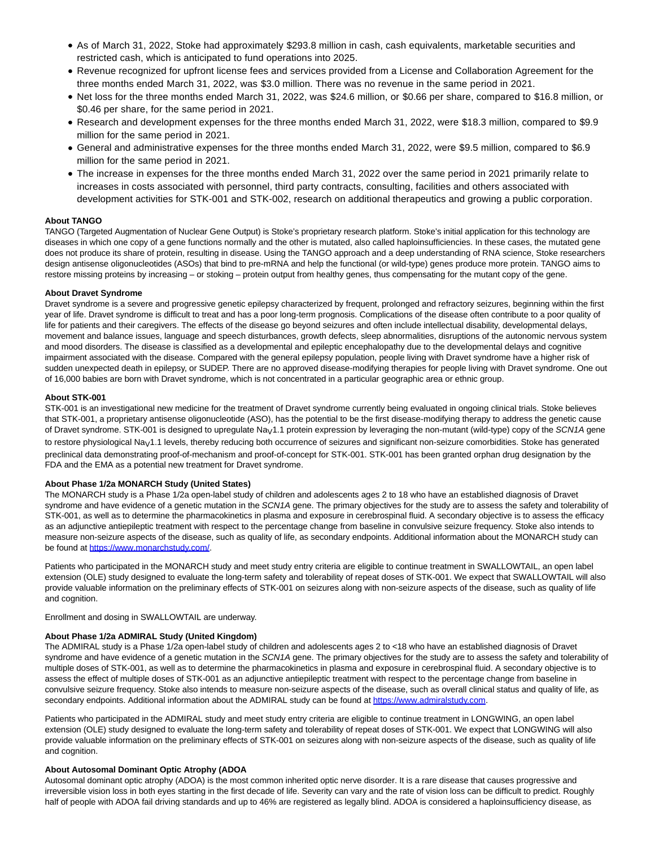- As of March 31, 2022, Stoke had approximately \$293.8 million in cash, cash equivalents, marketable securities and restricted cash, which is anticipated to fund operations into 2025.
- Revenue recognized for upfront license fees and services provided from a License and Collaboration Agreement for the three months ended March 31, 2022, was \$3.0 million. There was no revenue in the same period in 2021.
- Net loss for the three months ended March 31, 2022, was \$24.6 million, or \$0.66 per share, compared to \$16.8 million, or \$0.46 per share, for the same period in 2021.
- Research and development expenses for the three months ended March 31, 2022, were \$18.3 million, compared to \$9.9 million for the same period in 2021.
- General and administrative expenses for the three months ended March 31, 2022, were \$9.5 million, compared to \$6.9 million for the same period in 2021.
- The increase in expenses for the three months ended March 31, 2022 over the same period in 2021 primarily relate to increases in costs associated with personnel, third party contracts, consulting, facilities and others associated with development activities for STK-001 and STK-002, research on additional therapeutics and growing a public corporation.

## **About TANGO**

TANGO (Targeted Augmentation of Nuclear Gene Output) is Stoke's proprietary research platform. Stoke's initial application for this technology are diseases in which one copy of a gene functions normally and the other is mutated, also called haploinsufficiencies. In these cases, the mutated gene does not produce its share of protein, resulting in disease. Using the TANGO approach and a deep understanding of RNA science, Stoke researchers design antisense oligonucleotides (ASOs) that bind to pre-mRNA and help the functional (or wild-type) genes produce more protein. TANGO aims to restore missing proteins by increasing – or stoking – protein output from healthy genes, thus compensating for the mutant copy of the gene.

#### **About Dravet Syndrome**

Dravet syndrome is a severe and progressive genetic epilepsy characterized by frequent, prolonged and refractory seizures, beginning within the first year of life. Dravet syndrome is difficult to treat and has a poor long-term prognosis. Complications of the disease often contribute to a poor quality of life for patients and their caregivers. The effects of the disease go beyond seizures and often include intellectual disability, developmental delays, movement and balance issues, language and speech disturbances, growth defects, sleep abnormalities, disruptions of the autonomic nervous system and mood disorders. The disease is classified as a developmental and epileptic encephalopathy due to the developmental delays and cognitive impairment associated with the disease. Compared with the general epilepsy population, people living with Dravet syndrome have a higher risk of sudden unexpected death in epilepsy, or SUDEP. There are no approved disease-modifying therapies for people living with Dravet syndrome. One out of 16,000 babies are born with Dravet syndrome, which is not concentrated in a particular geographic area or ethnic group.

#### **About STK-001**

STK-001 is an investigational new medicine for the treatment of Dravet syndrome currently being evaluated in ongoing clinical trials. Stoke believes that STK-001, a proprietary antisense oligonucleotide (ASO), has the potential to be the first disease-modifying therapy to address the genetic cause of Dravet syndrome. STK-001 is designed to upregulate Na<sub>V</sub>1.1 protein expression by leveraging the non-mutant (wild-type) copy of the SCN1A gene to restore physiological Na<sub>V</sub>1.1 levels, thereby reducing both occurrence of seizures and significant non-seizure comorbidities. Stoke has generated preclinical data demonstrating proof-of-mechanism and proof-of-concept for STK-001. STK-001 has been granted orphan drug designation by the FDA and the EMA as a potential new treatment for Dravet syndrome.

## **About Phase 1/2a MONARCH Study (United States)**

The MONARCH study is a Phase 1/2a open-label study of children and adolescents ages 2 to 18 who have an established diagnosis of Dravet syndrome and have evidence of a genetic mutation in the SCN1A gene. The primary objectives for the study are to assess the safety and tolerability of STK-001, as well as to determine the pharmacokinetics in plasma and exposure in cerebrospinal fluid. A secondary objective is to assess the efficacy as an adjunctive antiepileptic treatment with respect to the percentage change from baseline in convulsive seizure frequency. Stoke also intends to measure non-seizure aspects of the disease, such as quality of life, as secondary endpoints. Additional information about the MONARCH study can be found at [https://www.monarchstudy.com/.](https://cts.businesswire.com/ct/CT?id=smartlink&url=https%3A%2F%2Fwww.monarchstudy.com%2F&esheet=52713180&newsitemid=20220510005201&lan=en-US&anchor=https%3A%2F%2Fwww.monarchstudy.com%2F&index=2&md5=dadd1434d5a7972af6b9412c5996bd25)

Patients who participated in the MONARCH study and meet study entry criteria are eligible to continue treatment in SWALLOWTAIL, an open label extension (OLE) study designed to evaluate the long-term safety and tolerability of repeat doses of STK-001. We expect that SWALLOWTAIL will also provide valuable information on the preliminary effects of STK-001 on seizures along with non-seizure aspects of the disease, such as quality of life and cognition.

Enrollment and dosing in SWALLOWTAIL are underway.

#### **About Phase 1/2a ADMIRAL Study (United Kingdom)**

The ADMIRAL study is a Phase 1/2a open-label study of children and adolescents ages 2 to <18 who have an established diagnosis of Dravet syndrome and have evidence of a genetic mutation in the SCN1A gene. The primary objectives for the study are to assess the safety and tolerability of multiple doses of STK-001, as well as to determine the pharmacokinetics in plasma and exposure in cerebrospinal fluid. A secondary objective is to assess the effect of multiple doses of STK-001 as an adjunctive antiepileptic treatment with respect to the percentage change from baseline in convulsive seizure frequency. Stoke also intends to measure non-seizure aspects of the disease, such as overall clinical status and quality of life, as secondary endpoints. Additional information about the ADMIRAL study can be found at [https://www.admiralstudy.com.](https://cts.businesswire.com/ct/CT?id=smartlink&url=https%3A%2F%2Fwww.admiralstudy.com&esheet=52713180&newsitemid=20220510005201&lan=en-US&anchor=https%3A%2F%2Fwww.admiralstudy.com&index=3&md5=fbbbb30cf68c139d25dd82f8691d6444)

Patients who participated in the ADMIRAL study and meet study entry criteria are eligible to continue treatment in LONGWING, an open label extension (OLE) study designed to evaluate the long-term safety and tolerability of repeat doses of STK-001. We expect that LONGWING will also provide valuable information on the preliminary effects of STK-001 on seizures along with non-seizure aspects of the disease, such as quality of life and cognition.

#### **About Autosomal Dominant Optic Atrophy (ADOA**

Autosomal dominant optic atrophy (ADOA) is the most common inherited optic nerve disorder. It is a rare disease that causes progressive and irreversible vision loss in both eyes starting in the first decade of life. Severity can vary and the rate of vision loss can be difficult to predict. Roughly half of people with ADOA fail driving standards and up to 46% are registered as legally blind. ADOA is considered a haploinsufficiency disease, as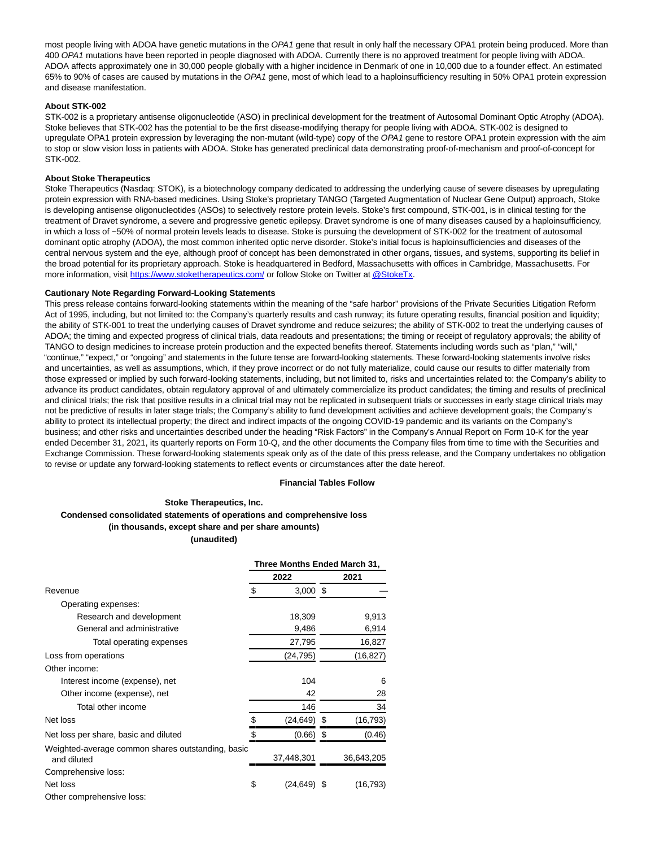most people living with ADOA have genetic mutations in the OPA1 gene that result in only half the necessary OPA1 protein being produced. More than 400 OPA1 mutations have been reported in people diagnosed with ADOA. Currently there is no approved treatment for people living with ADOA. ADOA affects approximately one in 30,000 people globally with a higher incidence in Denmark of one in 10,000 due to a founder effect. An estimated 65% to 90% of cases are caused by mutations in the OPA1 gene, most of which lead to a haploinsufficiency resulting in 50% OPA1 protein expression and disease manifestation.

#### **About STK-002**

STK-002 is a proprietary antisense oligonucleotide (ASO) in preclinical development for the treatment of Autosomal Dominant Optic Atrophy (ADOA). Stoke believes that STK-002 has the potential to be the first disease-modifying therapy for people living with ADOA. STK-002 is designed to upregulate OPA1 protein expression by leveraging the non-mutant (wild-type) copy of the OPA1 gene to restore OPA1 protein expression with the aim to stop or slow vision loss in patients with ADOA. Stoke has generated preclinical data demonstrating proof-of-mechanism and proof-of-concept for STK-002.

#### **About Stoke Therapeutics**

Stoke Therapeutics (Nasdaq: STOK), is a biotechnology company dedicated to addressing the underlying cause of severe diseases by upregulating protein expression with RNA-based medicines. Using Stoke's proprietary TANGO (Targeted Augmentation of Nuclear Gene Output) approach, Stoke is developing antisense oligonucleotides (ASOs) to selectively restore protein levels. Stoke's first compound, STK-001, is in clinical testing for the treatment of Dravet syndrome, a severe and progressive genetic epilepsy. Dravet syndrome is one of many diseases caused by a haploinsufficiency, in which a loss of ~50% of normal protein levels leads to disease. Stoke is pursuing the development of STK-002 for the treatment of autosomal dominant optic atrophy (ADOA), the most common inherited optic nerve disorder. Stoke's initial focus is haploinsufficiencies and diseases of the central nervous system and the eye, although proof of concept has been demonstrated in other organs, tissues, and systems, supporting its belief in the broad potential for its proprietary approach. Stoke is headquartered in Bedford, Massachusetts with offices in Cambridge, Massachusetts. For more information, visit [https://www.stoketherapeutics.com/ o](https://cts.businesswire.com/ct/CT?id=smartlink&url=https%3A%2F%2Fwww.stoketherapeutics.com%2F&esheet=52713180&newsitemid=20220510005201&lan=en-US&anchor=https%3A%2F%2Fwww.stoketherapeutics.com%2F&index=4&md5=bbf546d5a51f611f8432e264c6a47560)r follow Stoke on Twitter a[t @StokeTx.](https://cts.businesswire.com/ct/CT?id=smartlink&url=https%3A%2F%2Ftwitter.com%2FStokeTx&esheet=52713180&newsitemid=20220510005201&lan=en-US&anchor=%40StokeTx&index=5&md5=1f9623cf7a40e3de5a1402a4705aaf24)

#### **Cautionary Note Regarding Forward-Looking Statements**

This press release contains forward-looking statements within the meaning of the "safe harbor" provisions of the Private Securities Litigation Reform Act of 1995, including, but not limited to: the Company's quarterly results and cash runway; its future operating results, financial position and liquidity; the ability of STK-001 to treat the underlying causes of Dravet syndrome and reduce seizures; the ability of STK-002 to treat the underlying causes of ADOA; the timing and expected progress of clinical trials, data readouts and presentations; the timing or receipt of regulatory approvals; the ability of TANGO to design medicines to increase protein production and the expected benefits thereof. Statements including words such as "plan," "will," "continue," "expect," or "ongoing" and statements in the future tense are forward-looking statements. These forward-looking statements involve risks and uncertainties, as well as assumptions, which, if they prove incorrect or do not fully materialize, could cause our results to differ materially from those expressed or implied by such forward-looking statements, including, but not limited to, risks and uncertainties related to: the Company's ability to advance its product candidates, obtain regulatory approval of and ultimately commercialize its product candidates; the timing and results of preclinical and clinical trials; the risk that positive results in a clinical trial may not be replicated in subsequent trials or successes in early stage clinical trials may not be predictive of results in later stage trials; the Company's ability to fund development activities and achieve development goals; the Company's ability to protect its intellectual property; the direct and indirect impacts of the ongoing COVID-19 pandemic and its variants on the Company's business; and other risks and uncertainties described under the heading "Risk Factors" in the Company's Annual Report on Form 10-K for the year ended December 31, 2021, its quarterly reports on Form 10-Q, and the other documents the Company files from time to time with the Securities and Exchange Commission. These forward-looking statements speak only as of the date of this press release, and the Company undertakes no obligation to revise or update any forward-looking statements to reflect events or circumstances after the date hereof.

## **Financial Tables Follow**

#### **Stoke Therapeutics, Inc.**

## **Condensed consolidated statements of operations and comprehensive loss (in thousands, except share and per share amounts)**

**(unaudited)** 

|                                                                  | Three Months Ended March 31, |                |      |            |  |  |
|------------------------------------------------------------------|------------------------------|----------------|------|------------|--|--|
|                                                                  |                              | 2022           | 2021 |            |  |  |
| Revenue                                                          | \$                           | $3,000$ \$     |      |            |  |  |
| Operating expenses:                                              |                              |                |      |            |  |  |
| Research and development                                         |                              | 18,309         |      | 9,913      |  |  |
| General and administrative                                       |                              | 9,486          |      | 6,914      |  |  |
| Total operating expenses                                         |                              | 27,795         |      | 16,827     |  |  |
| Loss from operations                                             |                              | (24,795)       |      | (16, 827)  |  |  |
| Other income:                                                    |                              |                |      |            |  |  |
| Interest income (expense), net                                   |                              | 104            |      | 6          |  |  |
| Other income (expense), net                                      |                              | 42             |      | 28         |  |  |
| Total other income                                               |                              | 146            |      | 34         |  |  |
| Net loss                                                         | \$                           | (24,649)       | S    | (16, 793)  |  |  |
| Net loss per share, basic and diluted                            | \$                           | (0.66)         |      | (0.46)     |  |  |
| Weighted-average common shares outstanding, basic<br>and diluted |                              | 37,448,301     |      | 36,643,205 |  |  |
| Comprehensive loss:                                              |                              |                |      |            |  |  |
| Net loss                                                         | \$                           | $(24, 649)$ \$ |      | (16, 793)  |  |  |
| Other comprehensive loss:                                        |                              |                |      |            |  |  |